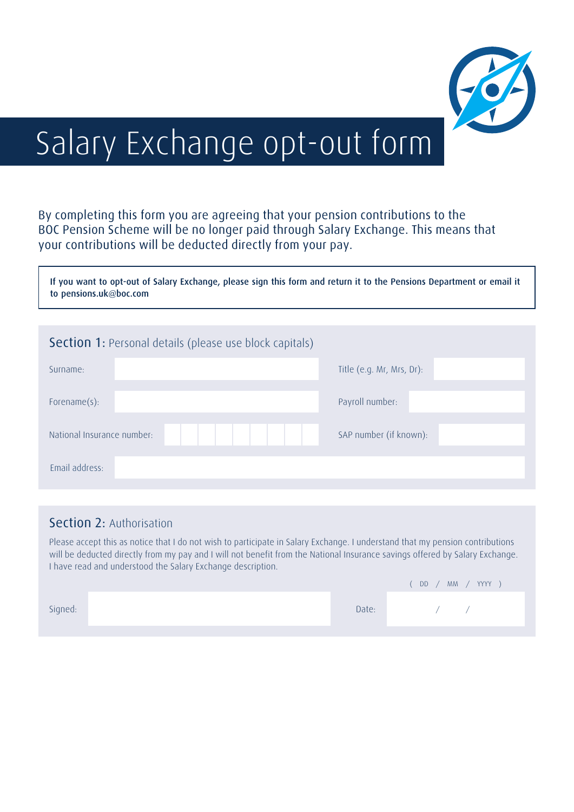

# Salary Exchange opt-out form

By completing this form you are agreeing that your pension contributions to the BOC Pension Scheme will be no longer paid through Salary Exchange. This means that your contributions will be deducted directly from your pay.

If you want to opt-out of Salary Exchange, please sign this form and return it to the Pensions Department or email it to pensions.uk@boc.com

| <b>Section 1:</b> Personal details (please use block capitals) |                           |  |  |  |  |
|----------------------------------------------------------------|---------------------------|--|--|--|--|
| Surname:                                                       | Title (e.g. Mr, Mrs, Dr): |  |  |  |  |
| Forename $(s)$ :                                               | Payroll number:           |  |  |  |  |
| National Insurance number:                                     | SAP number (if known):    |  |  |  |  |
| <b>Email address:</b>                                          |                           |  |  |  |  |

## Section 2: Authorisation

Please accept this as notice that I do not wish to participate in Salary Exchange. I understand that my pension contributions will be deducted directly from my pay and I will not benefit from the National Insurance savings offered by Salary Exchange. I have read and understood the Salary Exchange description.

| Signed:<br>Date:<br>$\mathcal{L}$ and $\mathcal{L}$ |  | MM / YYYY )<br>DD / |
|-----------------------------------------------------|--|---------------------|
|                                                     |  |                     |